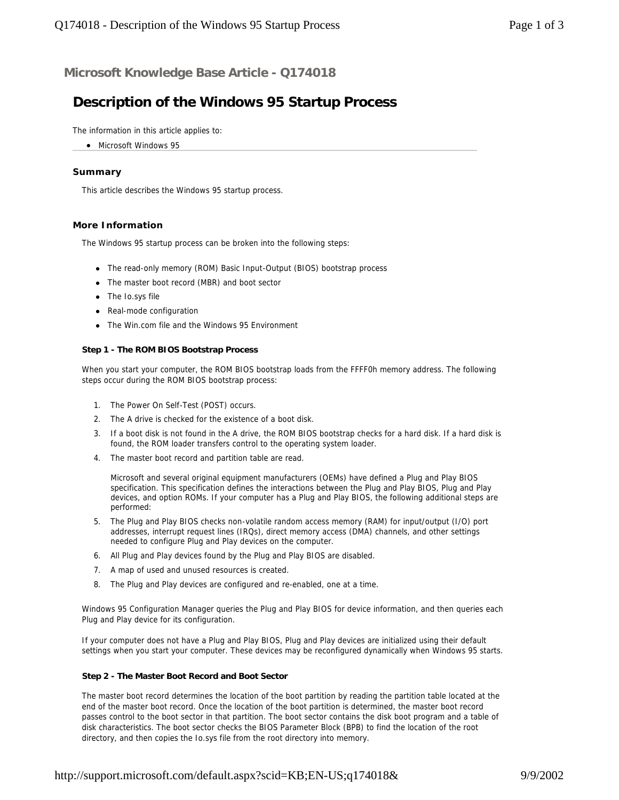**Microsoft Knowledge Base Article - Q174018**

# **Description of the Windows 95 Startup Process**

The information in this article applies to:

• Microsoft Windows 95

### **Summary**

This article describes the Windows 95 startup process.

## **More Information**

The Windows 95 startup process can be broken into the following steps:

- The read-only memory (ROM) Basic Input-Output (BIOS) bootstrap process
- The master boot record (MBR) and boot sector
- The Io.sys file
- Real-mode configuration
- The Win.com file and the Windows 95 Environment

#### **Step 1 - The ROM BIOS Bootstrap Process**

When you start your computer, the ROM BIOS bootstrap loads from the FFFF0h memory address. The following steps occur during the ROM BIOS bootstrap process:

- 1. The Power On Self-Test (POST) occurs.
- 2. The A drive is checked for the existence of a boot disk.
- 3. If a boot disk is not found in the A drive, the ROM BIOS bootstrap checks for a hard disk. If a hard disk is found, the ROM loader transfers control to the operating system loader.
- 4. The master boot record and partition table are read.

Microsoft and several original equipment manufacturers (OEMs) have defined a Plug and Play BIOS specification. This specification defines the interactions between the Plug and Play BIOS, Plug and Play devices, and option ROMs. If your computer has a Plug and Play BIOS, the following additional steps are performed:

- 5. The Plug and Play BIOS checks non-volatile random access memory (RAM) for input/output (I/O) port addresses, interrupt request lines (IRQs), direct memory access (DMA) channels, and other settings needed to configure Plug and Play devices on the computer.
- 6. All Plug and Play devices found by the Plug and Play BIOS are disabled.
- 7. A map of used and unused resources is created.
- 8. The Plug and Play devices are configured and re-enabled, one at a time.

Windows 95 Configuration Manager queries the Plug and Play BIOS for device information, and then queries each Plug and Play device for its configuration.

If your computer does not have a Plug and Play BIOS, Plug and Play devices are initialized using their default settings when you start your computer. These devices may be reconfigured dynamically when Windows 95 starts.

#### **Step 2 - The Master Boot Record and Boot Sector**

The master boot record determines the location of the boot partition by reading the partition table located at the end of the master boot record. Once the location of the boot partition is determined, the master boot record passes control to the boot sector in that partition. The boot sector contains the disk boot program and a table of disk characteristics. The boot sector checks the BIOS Parameter Block (BPB) to find the location of the root directory, and then copies the Io.sys file from the root directory into memory.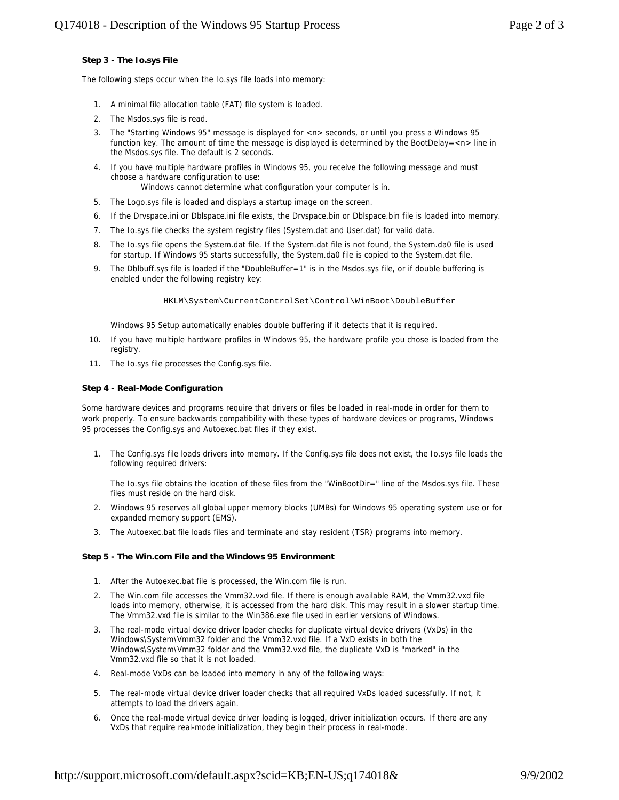#### **Step 3 - The Io.sys File**

The following steps occur when the Io.sys file loads into memory:

- 1. A minimal file allocation table (FAT) file system is loaded.
- 2. The Msdos.sys file is read.
- 3. The "Starting Windows 95" message is displayed for <n> seconds, or until you press a Windows 95 function key. The amount of time the message is displayed is determined by the BootDelay=<n> line in the Msdos.sys file. The default is 2 seconds.
- 4. If you have multiple hardware profiles in Windows 95, you receive the following message and must choose a hardware configuration to use: Windows cannot determine what configuration your computer is in.
- 5. The Logo.sys file is loaded and displays a startup image on the screen.
- 6. If the Drvspace.ini or Dblspace.ini file exists, the Drvspace.bin or Dblspace.bin file is loaded into memory.
- 7. The Io.sys file checks the system registry files (System.dat and User.dat) for valid data.
- 8. The Io.sys file opens the System.dat file. If the System.dat file is not found, the System.da0 file is used for startup. If Windows 95 starts successfully, the System.da0 file is copied to the System.dat file.
- 9. The Dblbuff.sys file is loaded if the "DoubleBuffer=1" is in the Msdos.sys file, or if double buffering is enabled under the following registry key:

HKLM\System\CurrentControlSet\Control\WinBoot\DoubleBuffer

Windows 95 Setup automatically enables double buffering if it detects that it is required.

- 10. If you have multiple hardware profiles in Windows 95, the hardware profile you chose is loaded from the registry.
- 11. The Io.sys file processes the Config.sys file.

#### **Step 4 - Real-Mode Configuration**

Some hardware devices and programs require that drivers or files be loaded in real-mode in order for them to work properly. To ensure backwards compatibility with these types of hardware devices or programs, Windows 95 processes the Config.sys and Autoexec.bat files if they exist.

1. The Config.sys file loads drivers into memory. If the Config.sys file does not exist, the Io.sys file loads the following required drivers:

The Io.sys file obtains the location of these files from the "WinBootDir=" line of the Msdos.sys file. These files must reside on the hard disk.

- 2. Windows 95 reserves all global upper memory blocks (UMBs) for Windows 95 operating system use or for expanded memory support (EMS).
- 3. The Autoexec.bat file loads files and terminate and stay resident (TSR) programs into memory.

#### **Step 5 - The Win.com File and the Windows 95 Environment**

- 1. After the Autoexec.bat file is processed, the Win.com file is run.
- 2. The Win.com file accesses the Vmm32.vxd file. If there is enough available RAM, the Vmm32.vxd file loads into memory, otherwise, it is accessed from the hard disk. This may result in a slower startup time. The Vmm32.vxd file is similar to the Win386.exe file used in earlier versions of Windows.
- 3. The real-mode virtual device driver loader checks for duplicate virtual device drivers (VxDs) in the Windows\System\Vmm32 folder and the Vmm32.vxd file. If a VxD exists in both the Windows\System\Vmm32 folder and the Vmm32.vxd file, the duplicate VxD is "marked" in the Vmm32.vxd file so that it is not loaded.
- 4. Real-mode VxDs can be loaded into memory in any of the following ways:
- 5. The real-mode virtual device driver loader checks that all required VxDs loaded sucessfully. If not, it attempts to load the drivers again.
- 6. Once the real-mode virtual device driver loading is logged, driver initialization occurs. If there are any VxDs that require real-mode initialization, they begin their process in real-mode.